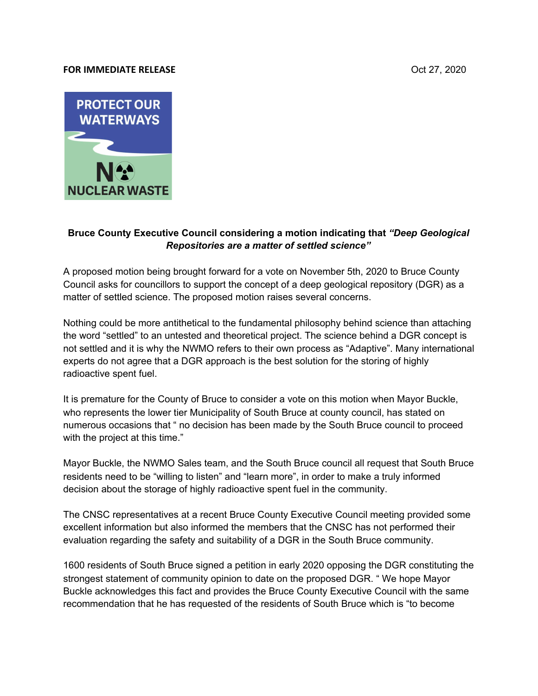## **FOR IMMEDIATE RELEASE CONSUMING THE SECOND SERVICE SERVICE SERVICE SERVICE SERVICE SERVICE SERVICE SERVICE SERVICE SERVICE SERVICE SERVICE SERVICE SERVICE SERVICE SERVICE SERVICE SERVICE SERVICE SERVICE SERVICE SERVICE**



## **Bruce County Executive Council considering a motion indicating that** *"Deep Geological Repositories are a matter of settled science"*

A proposed motion being brought forward for a vote on November 5th, 2020 to Bruce County Council asks for councillors to support the concept of a deep geological repository (DGR) as a matter of settled science. The proposed motion raises several concerns.

Nothing could be more antithetical to the fundamental philosophy behind science than attaching the word "settled" to an untested and theoretical project. The science behind a DGR concept is not settled and it is why the NWMO refers to their own process as "Adaptive". Many international experts do not agree that a DGR approach is the best solution for the storing of highly radioactive spent fuel.

It is premature for the County of Bruce to consider a vote on this motion when Mayor Buckle, who represents the lower tier Municipality of South Bruce at county council, has stated on numerous occasions that " no decision has been made by the South Bruce council to proceed with the project at this time."

Mayor Buckle, the NWMO Sales team, and the South Bruce council all request that South Bruce residents need to be "willing to listen" and "learn more", in order to make a truly informed decision about the storage of highly radioactive spent fuel in the community.

The CNSC representatives at a recent Bruce County Executive Council meeting provided some excellent information but also informed the members that the CNSC has not performed their evaluation regarding the safety and suitability of a DGR in the South Bruce community.

1600 residents of South Bruce signed a petition in early 2020 opposing the DGR constituting the strongest statement of community opinion to date on the proposed DGR. " We hope Mayor Buckle acknowledges this fact and provides the Bruce County Executive Council with the same recommendation that he has requested of the residents of South Bruce which is "to become